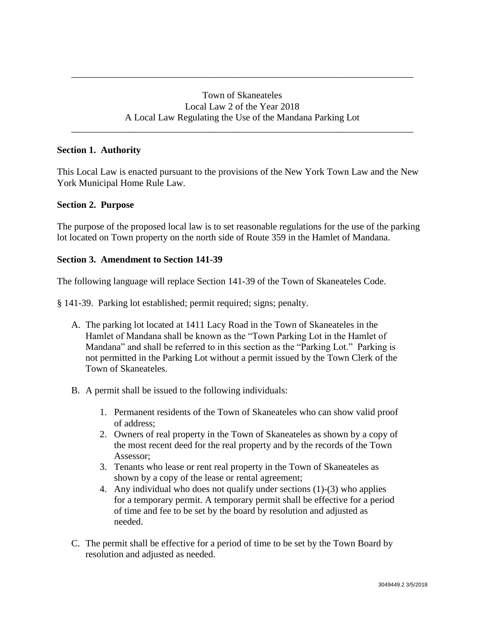\_\_\_\_\_\_\_\_\_\_\_\_\_\_\_\_\_\_\_\_\_\_\_\_\_\_\_\_\_\_\_\_\_\_\_\_\_\_\_\_\_\_\_\_\_\_\_\_\_\_\_\_\_\_\_\_\_\_\_\_\_\_\_\_\_\_\_\_\_\_\_\_

\_\_\_\_\_\_\_\_\_\_\_\_\_\_\_\_\_\_\_\_\_\_\_\_\_\_\_\_\_\_\_\_\_\_\_\_\_\_\_\_\_\_\_\_\_\_\_\_\_\_\_\_\_\_\_\_\_\_\_\_\_\_\_\_\_\_\_\_\_\_\_\_

## **Section 1. Authority**

This Local Law is enacted pursuant to the provisions of the New York Town Law and the New York Municipal Home Rule Law.

## **Section 2. Purpose**

The purpose of the proposed local law is to set reasonable regulations for the use of the parking lot located on Town property on the north side of Route 359 in the Hamlet of Mandana.

## **Section 3. Amendment to Section 141-39**

The following language will replace Section 141-39 of the Town of Skaneateles Code.

§ 141-39. Parking lot established; permit required; signs; penalty.

- A. The parking lot located at 1411 Lacy Road in the Town of Skaneateles in the Hamlet of Mandana shall be known as the "Town Parking Lot in the Hamlet of Mandana" and shall be referred to in this section as the "Parking Lot." Parking is not permitted in the Parking Lot without a permit issued by the Town Clerk of the Town of Skaneateles.
- B. A permit shall be issued to the following individuals:
	- 1. Permanent residents of the Town of Skaneateles who can show valid proof of address;
	- 2. Owners of real property in the Town of Skaneateles as shown by a copy of the most recent deed for the real property and by the records of the Town Assessor;
	- 3. Tenants who lease or rent real property in the Town of Skaneateles as shown by a copy of the lease or rental agreement;
	- 4. Any individual who does not qualify under sections (1)-(3) who applies for a temporary permit. A temporary permit shall be effective for a period of time and fee to be set by the board by resolution and adjusted as needed.
- C. The permit shall be effective for a period of time to be set by the Town Board by resolution and adjusted as needed.